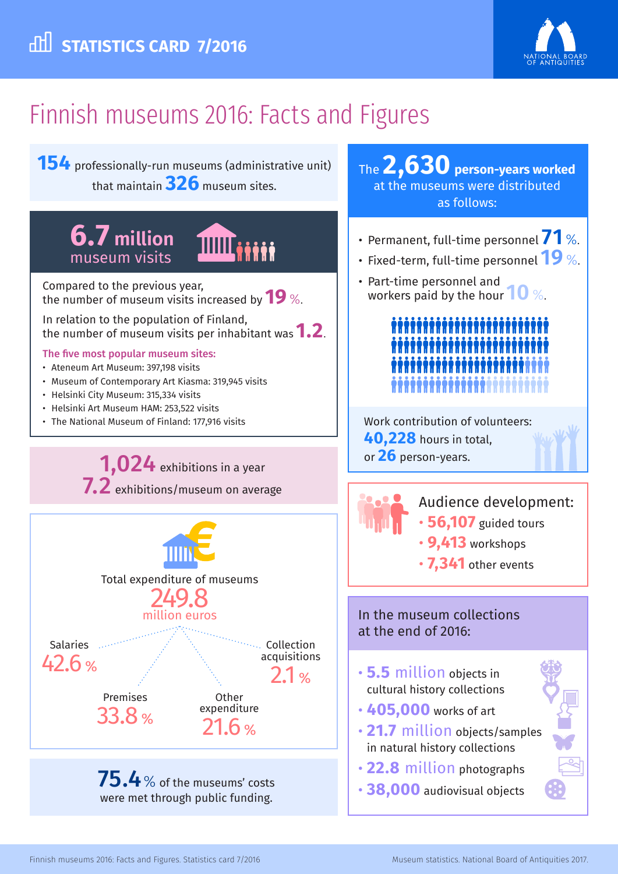

# Finnish museums 2016: Facts and Figures

**154** professionally-run museums (administrative unit) that maintain **326** museum sites.

## **6.7 million** museum visits



Compared to the previous year, the number of museum visits increased by **19** %.

In relation to the population of Finland, the number of museum visits per inhabitant was **1.2**.

#### The five most popular museum sites:

- Ateneum Art Museum: 397,198 visits
- Museum of Contemporary Art Kiasma: 319,945 visits
- Helsinki City Museum: 315,334 visits
- Helsinki Art Museum HAM: 253,522 visits
- The National Museum of Finland: 177,916 visits

1,024 exhibitions in a year 7.2 exhibitions/museum on average



were met through public funding.

### The **2,630 person-years worked**  at the museums were distributed as follows:

- Permanent, full-time personnel **71** %.
- Fixed-term, full-time personnel **19** %.
- Part-time personnel and workers paid by the hour **10** %.



Work contribution of volunteers: **40,228** hours in total, or **26** person-years.



Audience development:

- **56,107** guided tours
- **9,413** workshops
- **7,341** other events

#### In the museum collections at the end of 2016:

- **5.5** million objects in cultural history collections
- **405,000** works of art
- **21.7** million objects/samples in natural history collections
- **22.8** million photographs
- **38,000** audiovisual objects